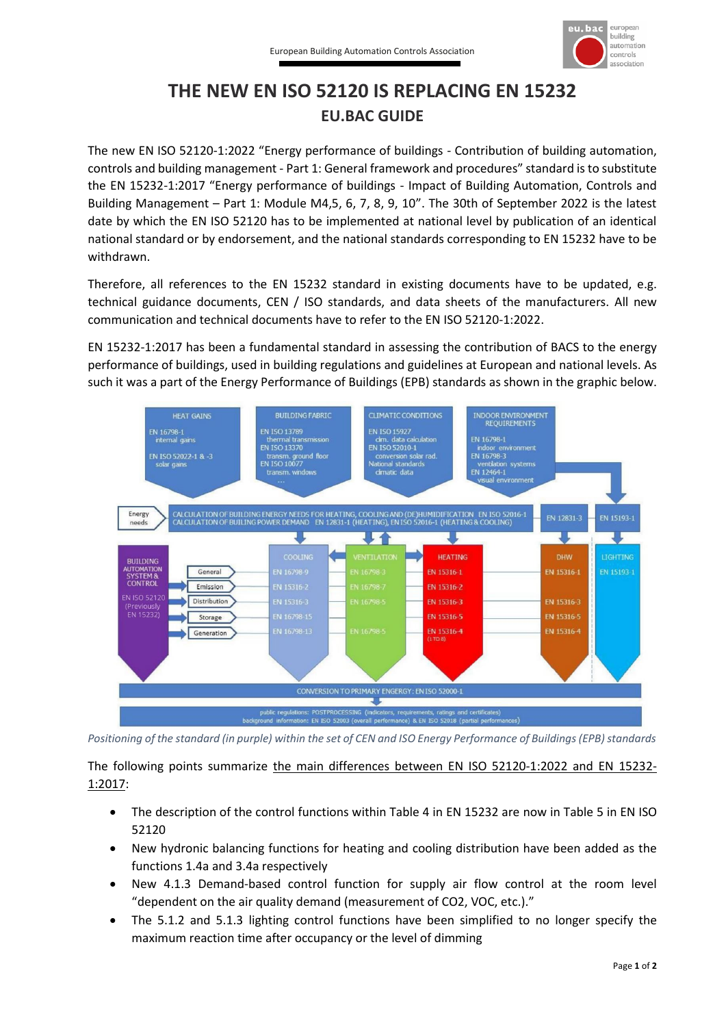

## **THE NEW EN ISO 52120 IS REPLACING EN 15232 EU.BAC GUIDE**

The new EN ISO 52120-1:2022 "Energy performance of buildings - Contribution of building automation, controls and building management - Part 1: General framework and procedures" standard is to substitute the EN 15232-1:2017 "Energy performance of buildings - Impact of Building Automation, Controls and Building Management – Part 1: Module M4,5, 6, 7, 8, 9, 10". The 30th of September 2022 is the latest date by which the EN ISO 52120 has to be implemented at national level by publication of an identical national standard or by endorsement, and the national standards corresponding to EN 15232 have to be withdrawn.

Therefore, all references to the EN 15232 standard in existing documents have to be updated, e.g. technical guidance documents, CEN / ISO standards, and data sheets of the manufacturers. All new communication and technical documents have to refer to the EN ISO 52120-1:2022.

EN 15232-1:2017 has been a fundamental standard in assessing the contribution of BACS to the energy performance of buildings, used in building regulations and guidelines at European and national levels. As such it was a part of the Energy Performance of Buildings (EPB) standards as shown in the graphic below.



*Positioning of the standard (in purple) within the set of CEN and ISO Energy Performance of Buildings (EPB) standards*

The following points summarize the main differences between EN ISO 52120-1:2022 and EN 15232- 1:2017:

- The description of the control functions within Table 4 in EN 15232 are now in Table 5 in EN ISO 52120
- New hydronic balancing functions for heating and cooling distribution have been added as the functions 1.4a and 3.4a respectively
- New 4.1.3 Demand-based control function for supply air flow control at the room level "dependent on the air quality demand (measurement of CO2, VOC, etc.)."
- The 5.1.2 and 5.1.3 lighting control functions have been simplified to no longer specify the maximum reaction time after occupancy or the level of dimming